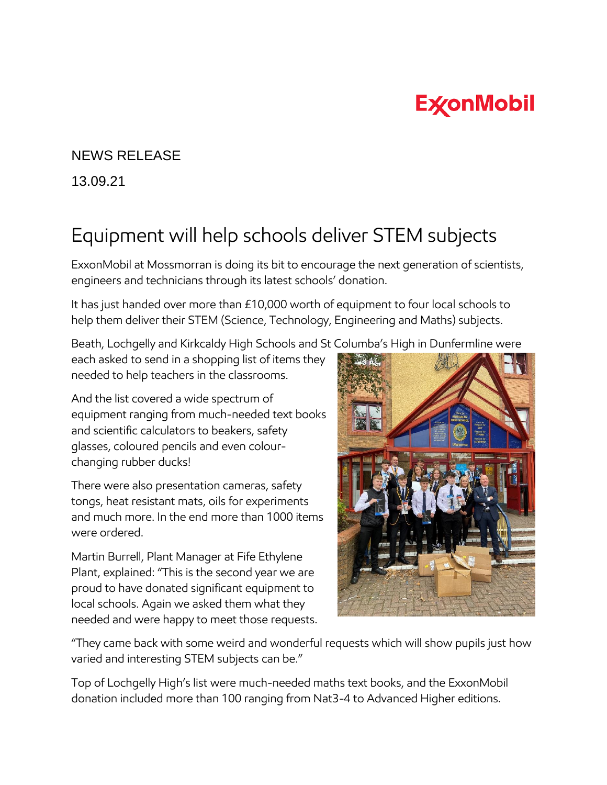## **ExconMobil**

## NEWS RELEASE

13.09.21

## Equipment will help schools deliver STEM subjects

ExxonMobil at Mossmorran is doing its bit to encourage the next generation of scientists, engineers and technicians through its latest schools' donation.

It has just handed over more than £10,000 worth of equipment to four local schools to help them deliver their STEM (Science, Technology, Engineering and Maths) subjects.

Beath, Lochgelly and Kirkcaldy High Schools and St Columba's High in Dunfermline were

each asked to send in a shopping list of items they needed to help teachers in the classrooms.

And the list covered a wide spectrum of equipment ranging from much-needed text books and scientific calculators to beakers, safety glasses, coloured pencils and even colourchanging rubber ducks!

There were also presentation cameras, safety tongs, heat resistant mats, oils for experiments and much more. In the end more than 1000 items were ordered.

Martin Burrell, Plant Manager at Fife Ethylene Plant, explained: "This is the second year we are proud to have donated significant equipment to local schools. Again we asked them what they needed and were happy to meet those requests.



"They came back with some weird and wonderful requests which will show pupils just how varied and interesting STEM subjects can be."

Top of Lochgelly High's list were much-needed maths text books, and the ExxonMobil donation included more than 100 ranging from Nat3-4 to Advanced Higher editions.